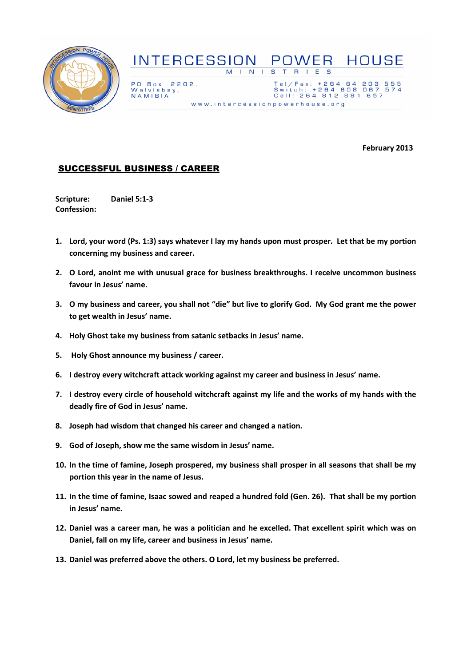

## **INTERCESSION POWER HOUSE**  $E$  S  $M$  |  $N$  |  $S$  $T$  R  $\mathbf{L}$

PO Box 2202, Walvisbay,<br>NAMIBIA

Tel/Fax: +264 64 203<br>Switch: +264 608 067<br>Cell: 264 812 881 657 555<br>574 www.intercessionpowerhouse.org

February 2013

## SUCCESSFUL BUSINESS / CAREER

Scripture: Daniel 5:1-3 Confession:

- 1. Lord, your word (Ps. 1:3) says whatever I lay my hands upon must prosper. Let that be my portion concerning my business and career.
- 2. O Lord, anoint me with unusual grace for business breakthroughs. I receive uncommon business favour in Jesus' name.
- 3. O my business and career, you shall not "die" but live to glorify God. My God grant me the power to get wealth in Jesus' name.
- 4. Holy Ghost take my business from satanic setbacks in Jesus' name.
- 5. Holy Ghost announce my business / career.
- 6. I destroy every witchcraft attack working against my career and business in Jesus' name.
- 7. I destroy every circle of household witchcraft against my life and the works of my hands with the deadly fire of God in Jesus' name.
- 8. Joseph had wisdom that changed his career and changed a nation.
- 9. God of Joseph, show me the same wisdom in Jesus' name.
- 10. In the time of famine, Joseph prospered, my business shall prosper in all seasons that shall be my portion this year in the name of Jesus.
- 11. In the time of famine, Isaac sowed and reaped a hundred fold (Gen. 26). That shall be my portion in Jesus' name.
- 12. Daniel was a career man, he was a politician and he excelled. That excellent spirit which was on Daniel, fall on my life, career and business in Jesus' name.
- 13. Daniel was preferred above the others. O Lord, let my business be preferred.